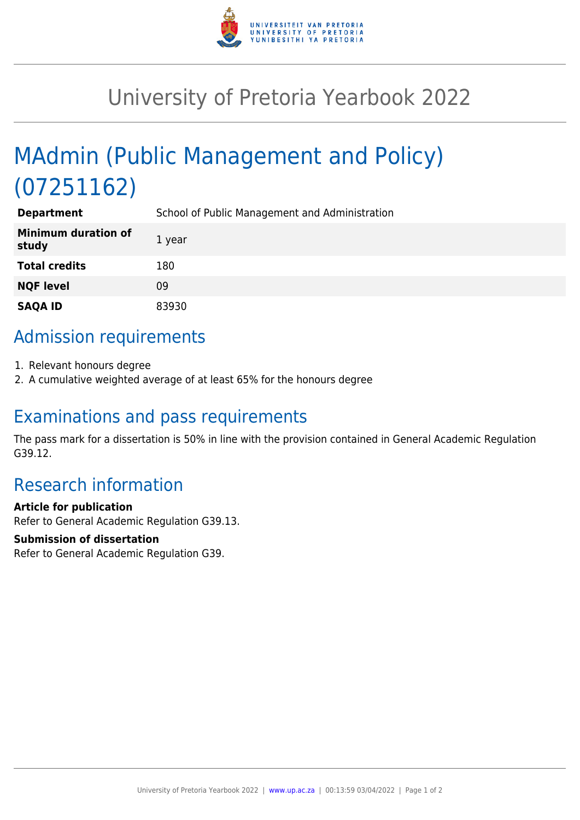

## University of Pretoria Yearbook 2022

# MAdmin (Public Management and Policy) (07251162)

| <b>Department</b>                   | School of Public Management and Administration |
|-------------------------------------|------------------------------------------------|
| <b>Minimum duration of</b><br>study | 1 year                                         |
| <b>Total credits</b>                | 180                                            |
| <b>NQF level</b>                    | 09                                             |
| <b>SAQA ID</b>                      | 83930                                          |

## Admission requirements

- 1. Relevant honours degree
- 2. A cumulative weighted average of at least 65% for the honours degree

### Examinations and pass requirements

The pass mark for a dissertation is 50% in line with the provision contained in General Academic Regulation G39.12.

### Research information

#### **Article for publication**

Refer to General Academic Regulation G39.13.

#### **Submission of dissertation**

Refer to General Academic Regulation G39.